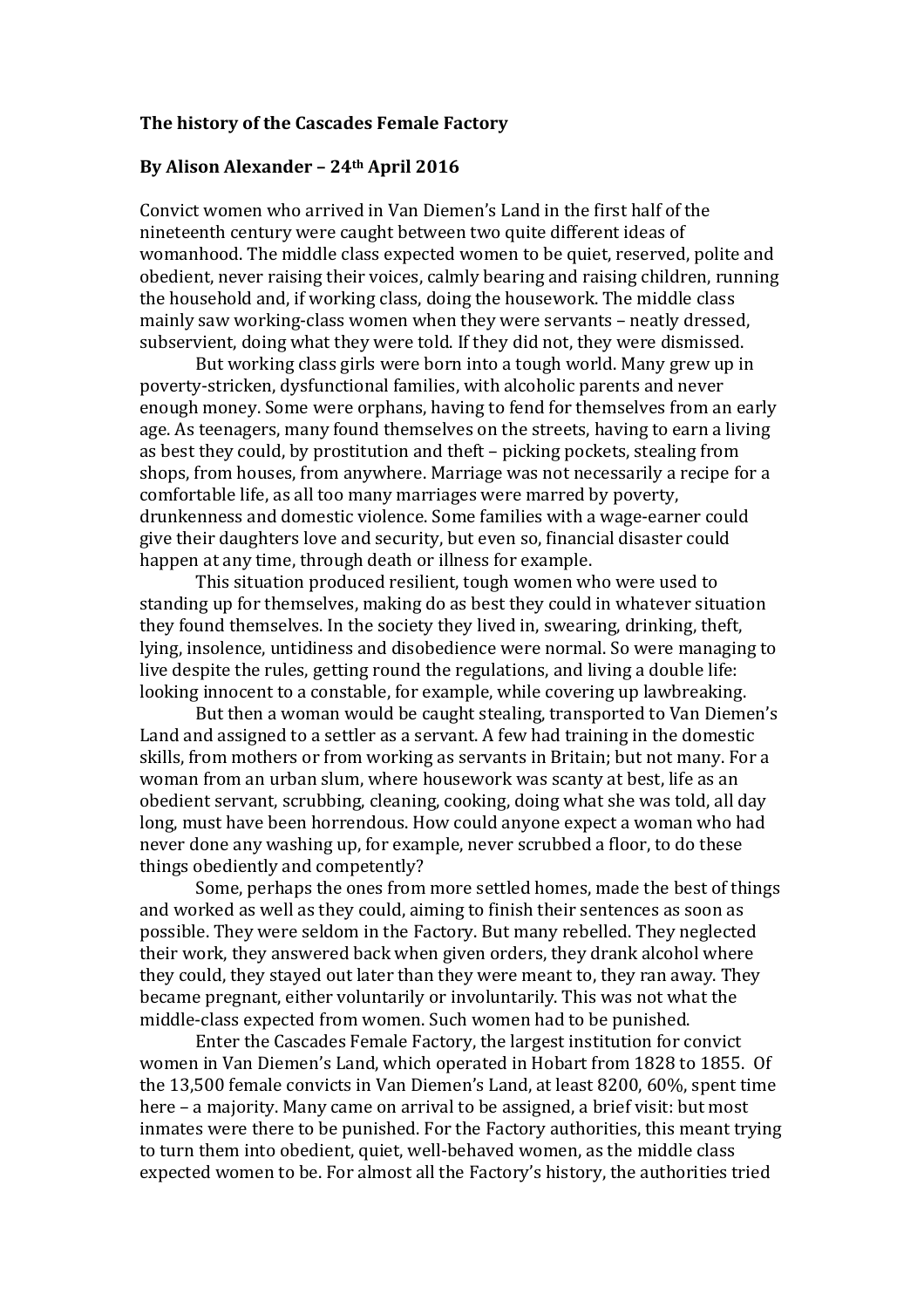## The history of the Cascades Female Factory

## By Alison Alexander – 24th April 2016

Convict women who arrived in Van Diemen's Land in the first half of the nineteenth century were caught between two quite different ideas of womanhood. The middle class expected women to be quiet, reserved, polite and obedient, never raising their voices, calmly bearing and raising children, running the household and, if working class, doing the housework. The middle class mainly saw working-class women when they were servants – neatly dressed, subservient, doing what they were told. If they did not, they were dismissed.

But working class girls were born into a tough world. Many grew up in poverty-stricken, dysfunctional families, with alcoholic parents and never enough money. Some were orphans, having to fend for themselves from an early age. As teenagers, many found themselves on the streets, having to earn a living as best they could, by prostitution and theft – picking pockets, stealing from shops, from houses, from anywhere. Marriage was not necessarily a recipe for a comfortable life, as all too many marriages were marred by poverty, drunkenness and domestic violence. Some families with a wage-earner could give their daughters love and security, but even so, financial disaster could happen at any time, through death or illness for example.

This situation produced resilient, tough women who were used to standing up for themselves, making do as best they could in whatever situation they found themselves. In the society they lived in, swearing, drinking, theft, lying, insolence, untidiness and disobedience were normal. So were managing to live despite the rules, getting round the regulations, and living a double life: looking innocent to a constable, for example, while covering up lawbreaking.

But then a woman would be caught stealing, transported to Van Diemen's Land and assigned to a settler as a servant. A few had training in the domestic skills, from mothers or from working as servants in Britain; but not many. For a woman from an urban slum, where housework was scanty at best, life as an obedient servant, scrubbing, cleaning, cooking, doing what she was told, all day long, must have been horrendous. How could anyone expect a woman who had never done any washing up, for example, never scrubbed a floor, to do these things obediently and competently?

Some, perhaps the ones from more settled homes, made the best of things and worked as well as they could, aiming to finish their sentences as soon as possible. They were seldom in the Factory. But many rebelled. They neglected their work, they answered back when given orders, they drank alcohol where they could, they stayed out later than they were meant to, they ran away. They became pregnant, either voluntarily or involuntarily. This was not what the middle-class expected from women. Such women had to be punished.

Enter the Cascades Female Factory, the largest institution for convict women in Van Diemen's Land, which operated in Hobart from 1828 to 1855. Of the 13,500 female convicts in Van Diemen's Land, at least 8200, 60%, spent time here – a majority. Many came on arrival to be assigned, a brief visit: but most inmates were there to be punished. For the Factory authorities, this meant trying to turn them into obedient, quiet, well-behaved women, as the middle class expected women to be. For almost all the Factory's history, the authorities tried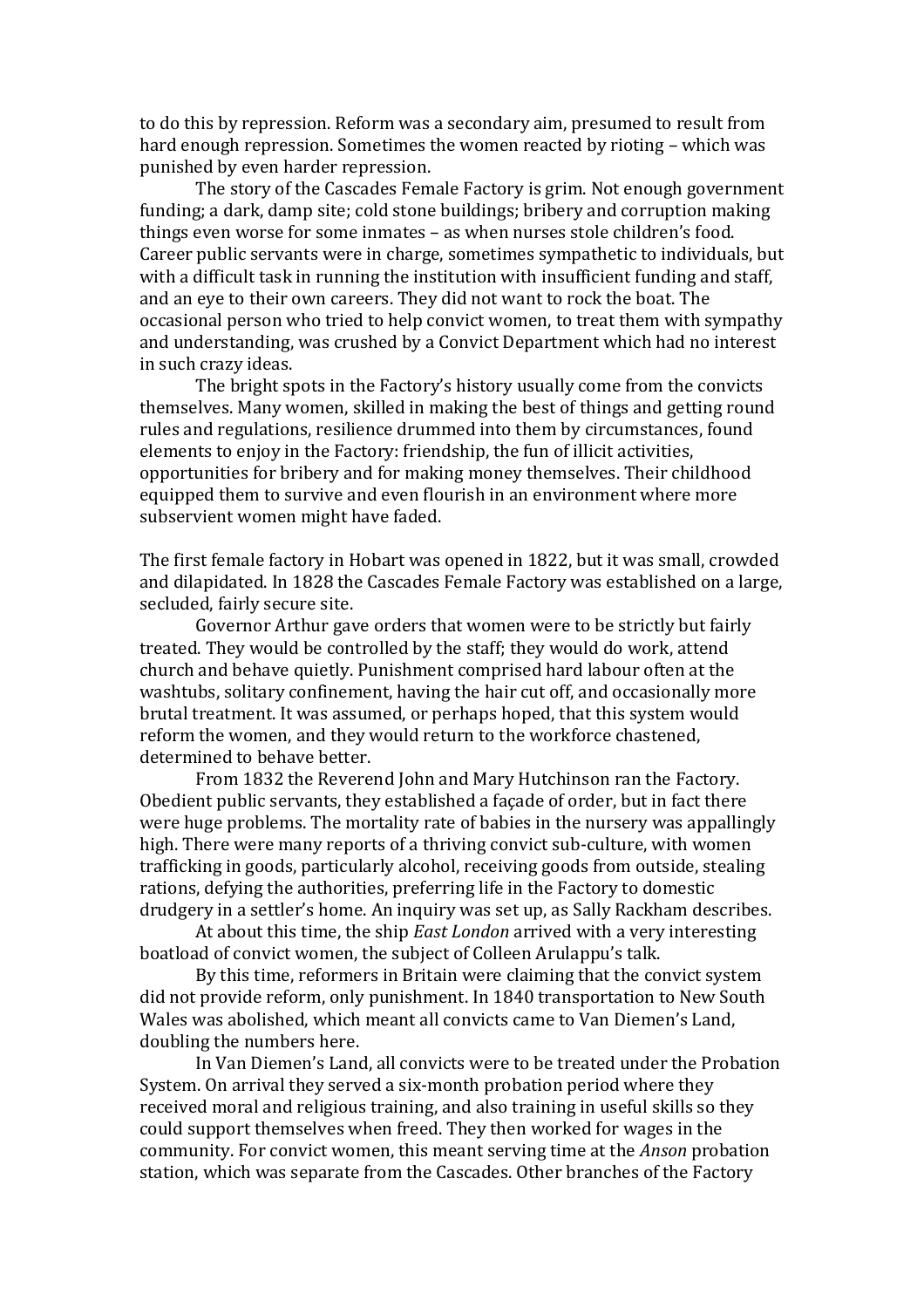to do this by repression. Reform was a secondary aim, presumed to result from hard enough repression. Sometimes the women reacted by rioting – which was punished by even harder repression.

The story of the Cascades Female Factory is grim. Not enough government funding; a dark, damp site; cold stone buildings; bribery and corruption making things even worse for some inmates – as when nurses stole children's food. Career public servants were in charge, sometimes sympathetic to individuals, but with a difficult task in running the institution with insufficient funding and staff, and an eye to their own careers. They did not want to rock the boat. The occasional person who tried to help convict women, to treat them with sympathy and understanding, was crushed by a Convict Department which had no interest in such crazy ideas.

The bright spots in the Factory's history usually come from the convicts themselves. Many women, skilled in making the best of things and getting round rules and regulations, resilience drummed into them by circumstances, found elements to enjoy in the Factory: friendship, the fun of illicit activities, opportunities for bribery and for making money themselves. Their childhood equipped them to survive and even flourish in an environment where more subservient women might have faded.

The first female factory in Hobart was opened in 1822, but it was small, crowded and dilapidated. In 1828 the Cascades Female Factory was established on a large, secluded, fairly secure site.

Governor Arthur gave orders that women were to be strictly but fairly treated. They would be controlled by the staff; they would do work, attend church and behave quietly. Punishment comprised hard labour often at the washtubs, solitary confinement, having the hair cut off, and occasionally more brutal treatment. It was assumed, or perhaps hoped, that this system would reform the women, and they would return to the workforce chastened, determined to behave better.

 From 1832 the Reverend John and Mary Hutchinson ran the Factory. Obedient public servants, they established a façade of order, but in fact there were huge problems. The mortality rate of babies in the nursery was appallingly high. There were many reports of a thriving convict sub-culture, with women trafficking in goods, particularly alcohol, receiving goods from outside, stealing rations, defying the authorities, preferring life in the Factory to domestic drudgery in a settler's home. An inquiry was set up, as Sally Rackham describes.

At about this time, the ship *East London* arrived with a very interesting boatload of convict women, the subject of Colleen Arulappu's talk.

 By this time, reformers in Britain were claiming that the convict system did not provide reform, only punishment. In 1840 transportation to New South Wales was abolished, which meant all convicts came to Van Diemen's Land, doubling the numbers here.

 In Van Diemen's Land, all convicts were to be treated under the Probation System. On arrival they served a six-month probation period where they received moral and religious training, and also training in useful skills so they could support themselves when freed. They then worked for wages in the community. For convict women, this meant serving time at the Anson probation station, which was separate from the Cascades. Other branches of the Factory